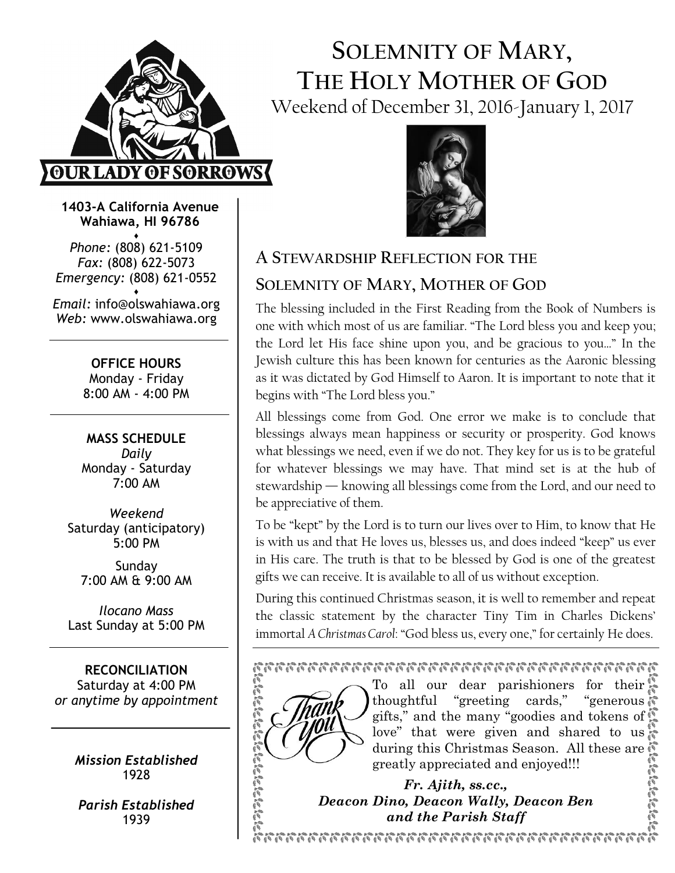

# SOLEMNITY OF MARY, THE HOLY MOTHER OF GOD Weekend of December 31, 2016-January 1, 2017



Wahiawa, HI 96786 ♦

Phone: (808) 621-5109 Fax: (808) 622-5073 Emergency: (808) 621-0552

♦ Email: info@olswahiawa.org Web: www.olswahiawa.org

> OFFICE HOURS Monday - Friday 8:00 AM - 4:00 PM

MASS SCHEDULE Daily Monday - Saturday  $7.00 \Delta M$ 

Weekend Saturday (anticipatory) 5:00 PM

Sunday 7:00 AM & 9:00 AM

Ilocano Mass Last Sunday at 5:00 PM

RECONCILIATION Saturday at 4:00 PM or anytime by appointment

> Mission Established 1928

Parish Established 1939



# A STEWARDSHIP REFLECTION FOR THE

# SOLEMNITY OF MARY, MOTHER OF GOD

The blessing included in the First Reading from the Book of Numbers is one with which most of us are familiar. "The Lord bless you and keep you; the Lord let His face shine upon you, and be gracious to you…" In the Jewish culture this has been known for centuries as the Aaronic blessing as it was dictated by God Himself to Aaron. It is important to note that it begins with "The Lord bless you."

All blessings come from God. One error we make is to conclude that blessings always mean happiness or security or prosperity. God knows what blessings we need, even if we do not. They key for us is to be grateful for whatever blessings we may have. That mind set is at the hub of stewardship — knowing all blessings come from the Lord, and our need to be appreciative of them.

To be "kept" by the Lord is to turn our lives over to Him, to know that He is with us and that He loves us, blesses us, and does indeed "keep" us ever in His care. The truth is that to be blessed by God is one of the greatest gifts we can receive. It is available to all of us without exception.

During this continued Christmas season, it is well to remember and repeat the classic statement by the character Tiny Tim in Charles Dickens' immortal A Christmas Carol: "God bless us, every one," for certainly He does.

#### 



To all our dear parishioners for their thoughtful "greeting cards," "generous gifts," and the many "goodies and tokens of love" that were given and shared to us during this Christmas Season. All these are greatly appreciated and enjoyed!!!

Fr. Ajith, ss.cc., Deacon Dino, Deacon Wally, Deacon Ben and the Parish Staff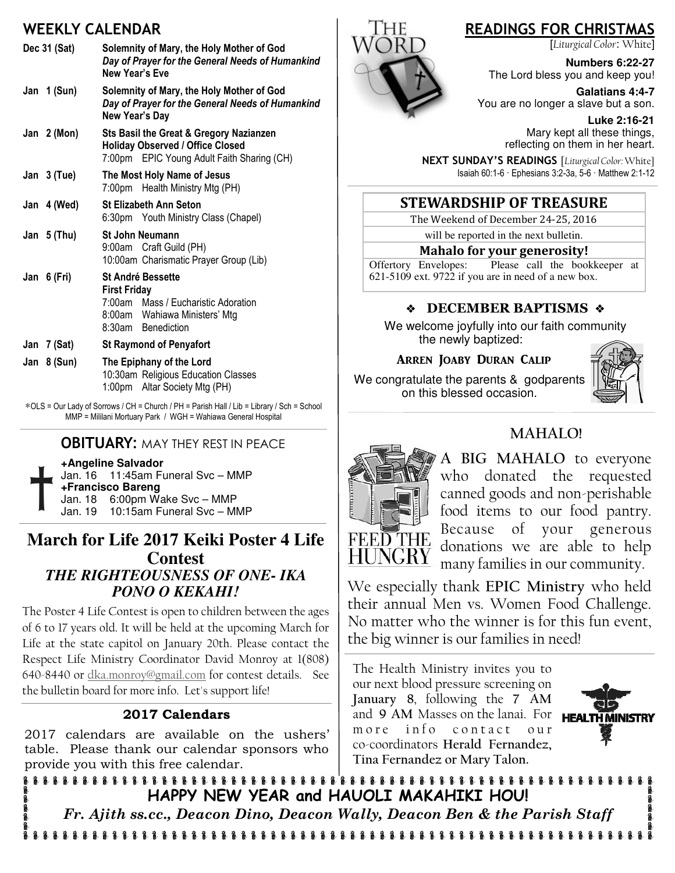## WEEKLY CALENDAR

| Dec 31 (Sat) |  |               | Solemnity of Mary, the Holy Mother of God<br>Day of Prayer for the General Needs of Humankind<br>New Year's Eve                               |
|--------------|--|---------------|-----------------------------------------------------------------------------------------------------------------------------------------------|
|              |  | Jan 1 (Sun)   | Solemnity of Mary, the Holy Mother of God<br>Day of Prayer for the General Needs of Humankind<br>New Year's Day                               |
|              |  | Jan $2(Mon)$  | Sts Basil the Great & Gregory Nazianzen<br><b>Holiday Observed / Office Closed</b><br>7:00pm EPIC Young Adult Faith Sharing (CH)              |
|              |  | Jan $3$ (Tue) | The Most Holy Name of Jesus<br>7:00pm Health Ministry Mtg (PH)                                                                                |
|              |  | Jan 4 (Wed)   | <b>St Elizabeth Ann Seton</b><br>6:30pm Youth Ministry Class (Chapel)                                                                         |
|              |  | Jan 5 (Thu)   | <b>St John Neumann</b><br>9:00am Craft Guild (PH)<br>10:00am Charismatic Prayer Group (Lib)                                                   |
|              |  | Jan 6 (Fri)   | <b>St André Bessette</b><br><b>First Friday</b><br>7:00am Mass / Eucharistic Adoration<br>8:00am Wahiawa Ministers' Mtg<br>8:30am Benediction |
|              |  | Jan 7 (Sat)   | <b>St Raymond of Penyafort</b>                                                                                                                |
|              |  | Jan $8(Sun)$  | The Epiphany of the Lord<br>10:30am Religious Education Classes<br>1:00pm Altar Society Mtg (PH)                                              |

∗OLS = Our Lady of Sorrows / CH = Church / PH = Parish Hall / Lib = Library / Sch = School MMP = Mililani Mortuary Park / WGH = Wahiawa General Hospital

#### **OBITUARY: MAY THEY REST IN PEACE**

**+Angeline Salvador** 

Jan. 16 11:45am Funeral Svc – MMP **+Francisco Bareng** Jan. 18 6:00pm Wake Svc – MMP Jan. 19 10:15am Funeral Svc – MMP

#### **March for Life 2017 Keiki Poster 4 Life Contest**  *THE RIGHTEOUSNESS OF ONE- IKA PONO O KEKAHI!*

The Poster 4 Life Contest is open to children between the ages of 6 to 17 years old. It will be held at the upcoming March for Life at the state capitol on January 20th. Please contact the Respect Life Ministry Coordinator David Monroy at 1(808) 640-8440 or dka.monroy@gmail.com for contest details. See the bulletin board for more info. Let's support life!

#### 2017 Calendars

2017 calendars are available on the ushers' table. Please thank our calendar sponsors who provide you with this free calendar.



# READINGS FOR CHRISTMAS

[Liturgical Color: White]

**Numbers 6:22-27**  The Lord bless you and keep you!

**Galatians 4:4-7**  You are no longer a slave but a son.

**Luke 2:16-21**  Mary kept all these things, reflecting on them in her heart.

NEXT SUNDAY'S READINGS [Liturgical Color: White] Isaiah 60:1-6 · Ephesians 3:2-3a, 5-6 · Matthew 2:1-12

#### STEWARDSHIP OF TREASURE

The Weekend of December 24-25, 2016

will be reported in the next bulletin.

Mahalo for your generosity!

Offertory Envelopes: Please call the bookkeeper at 621-5109 ext. 9722 if you are in need of a new box.

#### **EXAMPLE BAPTISMS &**

We welcome joyfully into our faith community the newly baptized:

#### ARREN JOABY DURAN CALIP

We congratulate the parents & godparents on this blessed occasion.







A BIG MAHALO to everyone who donated the requested canned goods and non-perishable food items to our food pantry. Because of your generous donations we are able to help many families in our community.

We especially thank EPIC Ministry who held their annual Men vs. Women Food Challenge. No matter who the winner is for this fun event, the big winner is our families in need!

The Health Ministry invites you to our next blood pressure screening on January 8, following the 7 AM and 9 AM Masses on the lanai. For more info contact our co-coordinators Herald Fernandez, Tina Fernandez or Mary Talon.



HAPPY NEW YEAR and HAUOLI MAKAHIKI HOU! Fr. Ajith ss.cc., Deacon Dino, Deacon Wally, Deacon Ben & the Parish Staff